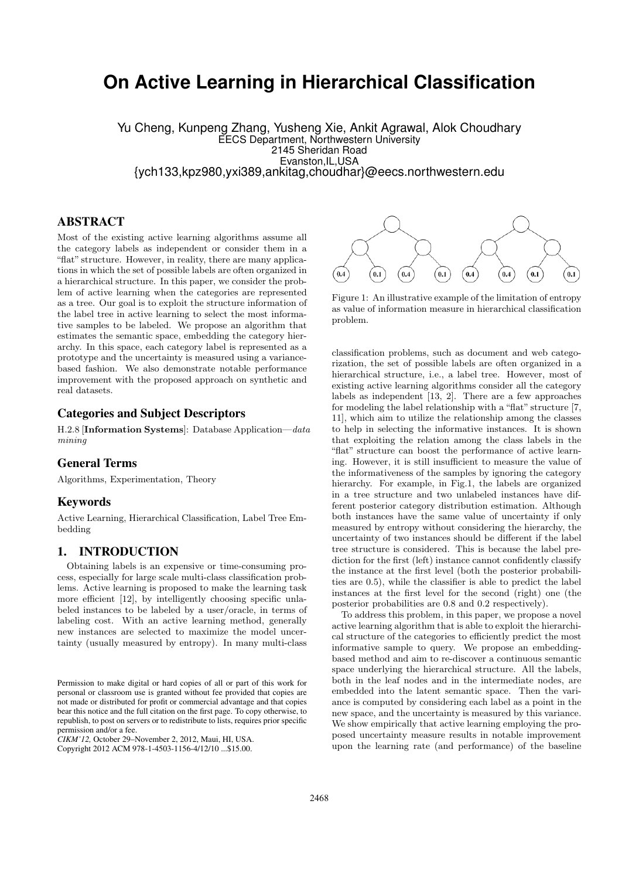# **On Active Learning in Hierarchical Classification**

Yu Cheng, Kunpeng Zhang, Yusheng Xie, Ankit Agrawal, Alok Choudhary EECS Department, Northwestern University 2145 Sheridan Road Evanston,IL,USA {ych133,kpz980,yxi389,ankitag,choudhar}@eecs.northwestern.edu

# ABSTRACT

Most of the existing active learning algorithms assume all the category labels as independent or consider them in a "flat" structure. However, in reality, there are many applications in which the set of possible labels are often organized in a hierarchical structure. In this paper, we consider the problem of active learning when the categories are represented as a tree. Our goal is to exploit the structure information of the label tree in active learning to select the most informative samples to be labeled. We propose an algorithm that estimates the semantic space, embedding the category hierarchy. In this space, each category label is represented as a prototype and the uncertainty is measured using a variancebased fashion. We also demonstrate notable performance improvement with the proposed approach on synthetic and real datasets.

## Categories and Subject Descriptors

H.2.8 [Information Systems]: Database Application—data mining

## General Terms

Algorithms, Experimentation, Theory

# Keywords

Active Learning, Hierarchical Classification, Label Tree Embedding

# 1. INTRODUCTION

Obtaining labels is an expensive or time-consuming process, especially for large scale multi-class classification problems. Active learning is proposed to make the learning task more efficient [12], by intelligently choosing specific unlabeled instances to be labeled by a user/oracle, in terms of labeling cost. With an active learning method, generally new instances are selected to maximize the model uncertainty (usually measured by entropy). In many multi-class

Copyright 2012 ACM 978-1-4503-1156-4/12/10 ...\$15.00.



Figure 1: An illustrative example of the limitation of entropy as value of information measure in hierarchical classification problem.

classification problems, such as document and web categorization, the set of possible labels are often organized in a hierarchical structure, i.e., a label tree. However, most of existing active learning algorithms consider all the category labels as independent [13, 2]. There are a few approaches for modeling the label relationship with a "flat" structure [7, 11], which aim to utilize the relationship among the classes to help in selecting the informative instances. It is shown that exploiting the relation among the class labels in the "flat" structure can boost the performance of active learning. However, it is still insufficient to measure the value of the informativeness of the samples by ignoring the category hierarchy. For example, in Fig.1, the labels are organized in a tree structure and two unlabeled instances have different posterior category distribution estimation. Although both instances have the same value of uncertainty if only measured by entropy without considering the hierarchy, the uncertainty of two instances should be different if the label tree structure is considered. This is because the label prediction for the first (left) instance cannot confidently classify the instance at the first level (both the posterior probabilities are 0.5), while the classifier is able to predict the label instances at the first level for the second (right) one (the posterior probabilities are 0.8 and 0.2 respectively).

To address this problem, in this paper, we propose a novel active learning algorithm that is able to exploit the hierarchical structure of the categories to efficiently predict the most informative sample to query. We propose an embeddingbased method and aim to re-discover a continuous semantic space underlying the hierarchical structure. All the labels, both in the leaf nodes and in the intermediate nodes, are embedded into the latent semantic space. Then the variance is computed by considering each label as a point in the new space, and the uncertainty is measured by this variance. We show empirically that active learning employing the proposed uncertainty measure results in notable improvement upon the learning rate (and performance) of the baseline

Permission to make digital or hard copies of all or part of this work for personal or classroom use is granted without fee provided that copies are not made or distributed for profit or commercial advantage and that copies bear this notice and the full citation on the first page. To copy otherwise, to republish, to post on servers or to redistribute to lists, requires prior specific permission and/or a fee.

*CIKM'12,* October 29–November 2, 2012, Maui, HI, USA.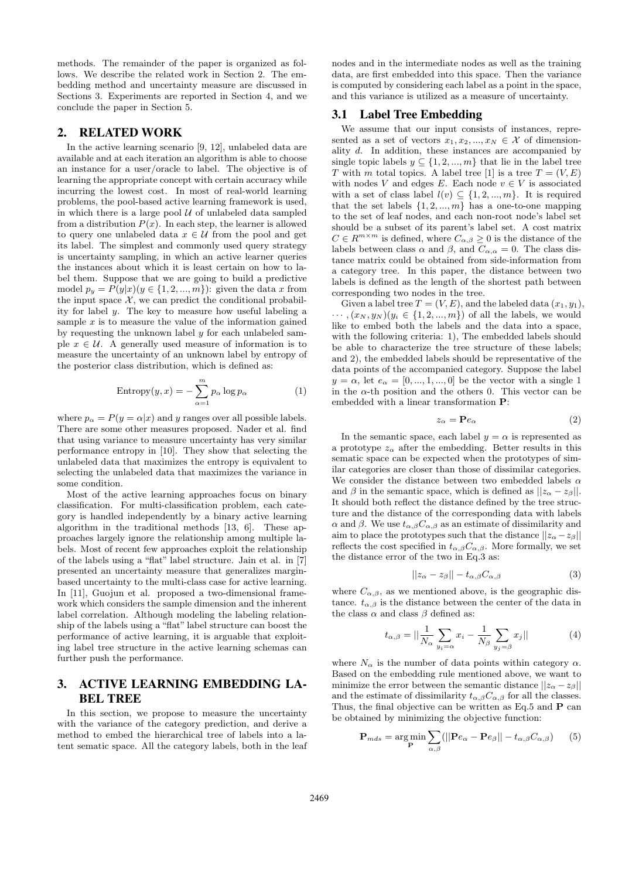methods. The remainder of the paper is organized as follows. We describe the related work in Section 2. The embedding method and uncertainty measure are discussed in Sections 3. Experiments are reported in Section 4, and we conclude the paper in Section 5.

## 2. RELATED WORK

In the active learning scenario [9, 12], unlabeled data are available and at each iteration an algorithm is able to choose an instance for a user/oracle to label. The objective is of learning the appropriate concept with certain accuracy while incurring the lowest cost. In most of real-world learning problems, the pool-based active learning framework is used, in which there is a large pool  $\mathcal U$  of unlabeled data sampled from a distribution  $P(x)$ . In each step, the learner is allowed to query one unlabeled data  $x \in \mathcal{U}$  from the pool and get its label. The simplest and commonly used query strategy is uncertainty sampling, in which an active learner queries the instances about which it is least certain on how to label them. Suppose that we are going to build a predictive model  $p_y = P(y|x)(y \in \{1, 2, ..., m\})$ : given the data x from the input space  $X$ , we can predict the conditional probability for label y. The key to measure how useful labeling a sample  $x$  is to measure the value of the information gained by requesting the unknown label y for each unlabeled sample  $x \in \mathcal{U}$ . A generally used measure of information is to measure the uncertainty of an unknown label by entropy of the posterior class distribution, which is defined as:

Entropy
$$
(y, x) = -\sum_{\alpha=1}^{m} p_{\alpha} \log p_{\alpha}
$$
 (1)

where  $p_{\alpha} = P(y = \alpha | x)$  and y ranges over all possible labels. There are some other measures proposed. Nader et al. find that using variance to measure uncertainty has very similar performance entropy in [10]. They show that selecting the unlabeled data that maximizes the entropy is equivalent to selecting the unlabeled data that maximizes the variance in some condition.

Most of the active learning approaches focus on binary classification. For multi-classification problem, each category is handled independently by a binary active learning algorithm in the traditional methods [13, 6]. These approaches largely ignore the relationship among multiple labels. Most of recent few approaches exploit the relationship of the labels using a "flat" label structure. Jain et al. in [7] presented an uncertainty measure that generalizes marginbased uncertainty to the multi-class case for active learning. In [11], Guojun et al. proposed a two-dimensional framework which considers the sample dimension and the inherent label correlation. Although modeling the labeling relationship of the labels using a "flat" label structure can boost the performance of active learning, it is arguable that exploiting label tree structure in the active learning schemas can further push the performance.

# 3. ACTIVE LEARNING EMBEDDING LA-BEL TREE

In this section, we propose to measure the uncertainty with the variance of the category prediction, and derive a method to embed the hierarchical tree of labels into a latent sematic space. All the category labels, both in the leaf nodes and in the intermediate nodes as well as the training data, are first embedded into this space. Then the variance is computed by considering each label as a point in the space, and this variance is utilized as a measure of uncertainty.

#### 3.1 Label Tree Embedding

We assume that our input consists of instances, represented as a set of vectors  $x_1, x_2, ..., x_N \in \mathcal{X}$  of dimensionality d. In addition, these instances are accompanied by single topic labels  $y \subseteq \{1, 2, ..., m\}$  that lie in the label tree T with m total topics. A label tree [1] is a tree  $T = (V, E)$ with nodes V and edges E. Each node  $v \in V$  is associated with a set of class label  $l(v) \subseteq \{1, 2, ..., m\}$ . It is required that the set labels  $\{1, 2, ..., m\}$  has a one-to-one mapping to the set of leaf nodes, and each non-root node's label set should be a subset of its parent's label set. A cost matrix  $C \in \mathbb{R}^{m \times m}$  is defined, where  $C_{\alpha,\beta} \geq 0$  is the distance of the labels between class  $\alpha$  and  $\beta$ , and  $C_{\alpha,\alpha} = 0$ . The class distance matrix could be obtained from side-information from a category tree. In this paper, the distance between two labels is defined as the length of the shortest path between corresponding two nodes in the tree.

Given a label tree  $T = (V, E)$ , and the labeled data  $(x_1, y_1)$ ,  $\cdots$ ,  $(x_N, y_N)(y_i \in \{1, 2, ..., m\})$  of all the labels, we would like to embed both the labels and the data into a space, with the following criteria: 1), The embedded labels should be able to characterize the tree structure of these labels; and 2), the embedded labels should be representative of the data points of the accompanied category. Suppose the label  $y = \alpha$ , let  $e_{\alpha} = [0, ..., 1, ..., 0]$  be the vector with a single 1 in the  $\alpha$ -th position and the others 0. This vector can be embedded with a linear transformation P:

$$
z_{\alpha} = \mathbf{P}e_{\alpha} \tag{2}
$$

In the semantic space, each label  $y = \alpha$  is represented as a prototype  $z_{\alpha}$  after the embedding. Better results in this sematic space can be expected when the prototypes of similar categories are closer than those of dissimilar categories. We consider the distance between two embedded labels  $\alpha$ and  $\beta$  in the semantic space, which is defined as  $||z_{\alpha} - z_{\beta}||$ . It should both reflect the distance defined by the tree structure and the distance of the corresponding data with labels α and β. We use  $t_{\alpha,\beta}C_{\alpha,\beta}$  as an estimate of dissimilarity and aim to place the prototypes such that the distance  $||z_{\alpha}-z_{\beta}||$ reflects the cost specified in  $t_{\alpha,\beta}C_{\alpha,\beta}$ . More formally, we set the distance error of the two in Eq.3 as:

$$
||z_{\alpha} - z_{\beta}|| - t_{\alpha,\beta} C_{\alpha,\beta} \tag{3}
$$

where  $C_{\alpha,\beta}$ , as we mentioned above, is the geographic distance.  $t_{\alpha,\beta}$  is the distance between the center of the data in the class  $\alpha$  and class  $\beta$  defined as:

$$
t_{\alpha,\beta} = ||\frac{1}{N_{\alpha}} \sum_{y_i = \alpha} x_i - \frac{1}{N_{\beta}} \sum_{y_j = \beta} x_j|| \tag{4}
$$

where  $N_{\alpha}$  is the number of data points within category  $\alpha$ . Based on the embedding rule mentioned above, we want to minimize the error between the semantic distance  $||z_{\alpha} - z_{\beta}||$ and the estimate of dissimilarity  $t_{\alpha,\beta}C_{\alpha,\beta}$  for all the classes. Thus, the final objective can be written as Eq.5 and  $P$  can be obtained by minimizing the objective function:

$$
\mathbf{P}_{mds} = \underset{\mathbf{P}}{\arg\min} \sum_{\alpha,\beta} (||\mathbf{P}e_{\alpha} - \mathbf{P}e_{\beta}|| - t_{\alpha,\beta}C_{\alpha,\beta}) \qquad (5)
$$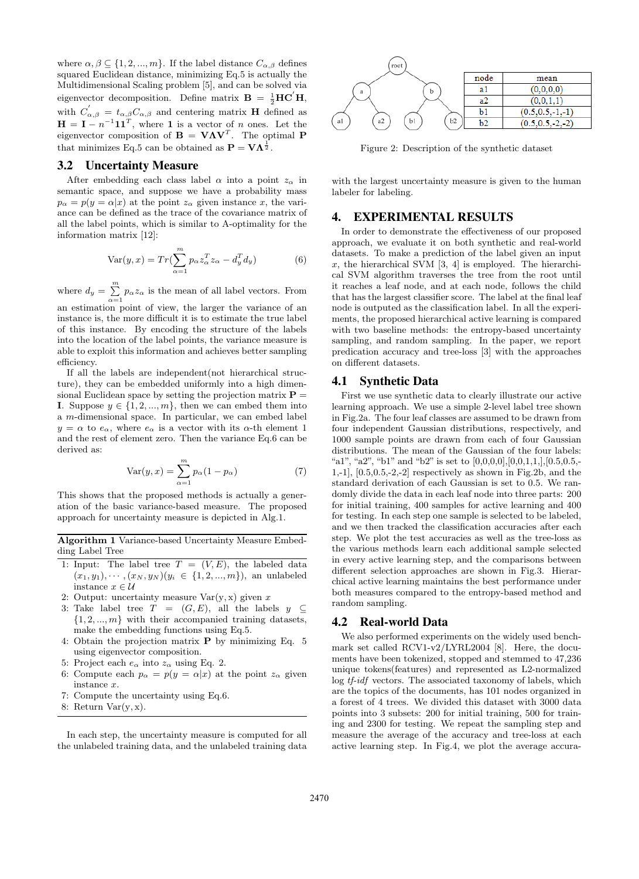where  $\alpha, \beta \subseteq \{1, 2, ..., m\}$ . If the label distance  $C_{\alpha, \beta}$  defines squared Euclidean distance, minimizing Eq.5 is actually the Multidimensional Scaling problem [5], and can be solved via eigenvector decomposition. Define matrix  $\mathbf{B} = \frac{1}{2} \mathbf{H} \mathbf{C}' \mathbf{H}$ , with  $C'_{\alpha,\beta} = t_{\alpha,\beta}C_{\alpha,\beta}$  and centering matrix **H** defined as  $H = I - n^{-1} 11^T$ , where 1 is a vector of *n* ones. Let the eigenvector composition of  $\mathbf{B} = \mathbf{V}\mathbf{\Lambda}\mathbf{V}^T$ . The optimal P that minimizes Eq.5 can be obtained as  $\mathbf{P} = \mathbf{V} \mathbf{\Lambda}^{\frac{1}{2}}$ .

#### 3.2 Uncertainty Measure

After embedding each class label  $\alpha$  into a point  $z_{\alpha}$  in semantic space, and suppose we have a probability mass  $p_{\alpha} = p(y = \alpha | x)$  at the point  $z_{\alpha}$  given instance x, the variance can be defined as the trace of the covariance matrix of all the label points, which is similar to A-optimality for the information matrix [12]:

$$
Var(y, x) = Tr\left(\sum_{\alpha=1}^{m} p_{\alpha} z_{\alpha}^{T} z_{\alpha} - d_{y}^{T} d_{y}\right)
$$
(6)

where  $d_y = \sum^m$  $\sum_{\alpha=1} p_{\alpha} z_{\alpha}$  is the mean of all label vectors. From an estimation point of view, the larger the variance of an instance is, the more difficult it is to estimate the true label of this instance. By encoding the structure of the labels into the location of the label points, the variance measure is able to exploit this information and achieves better sampling efficiency.

If all the labels are independent(not hierarchical structure), they can be embedded uniformly into a high dimensional Euclidean space by setting the projection matrix  $P =$ I. Suppose  $y \in \{1, 2, ..., m\}$ , then we can embed them into a m-dimensional space. In particular, we can embed label  $y = \alpha$  to  $e_{\alpha}$ , where  $e_{\alpha}$  is a vector with its  $\alpha$ -th element 1 and the rest of element zero. Then the variance Eq.6 can be derived as:

$$
Var(y, x) = \sum_{\alpha=1}^{m} p_{\alpha} (1 - p_{\alpha})
$$
 (7)

This shows that the proposed methods is actually a generation of the basic variance-based measure. The proposed approach for uncertainty measure is depicted in Alg.1.

Algorithm 1 Variance-based Uncertainty Measure Embedding Label Tree

- 1: Input: The label tree  $T = (V, E)$ , the labeled data  $(x_1, y_1), \cdots, (x_N, y_N)$   $(y_i \in \{1, 2, ..., m\})$ , an unlabeled instance  $x \in \mathcal{U}$
- 2: Output: uncertainty measure  $Var(y, x)$  given x
- 3: Take label tree  $T = (G, E)$ , all the labels  $y \subseteq$  $\{1, 2, ..., m\}$  with their accompanied training datasets, make the embedding functions using Eq.5.
- 4: Obtain the projection matrix P by minimizing Eq. 5 using eigenvector composition.
- 5: Project each  $e_{\alpha}$  into  $z_{\alpha}$  using Eq. 2.
- 6: Compute each  $p_{\alpha} = p(y = \alpha | x)$  at the point  $z_{\alpha}$  given instance x.
- 7: Compute the uncertainty using Eq.6.
- 8: Return  $Var(y, x)$ .

In each step, the uncertainty measure is computed for all the unlabeled training data, and the unlabeled training data



Figure 2: Description of the synthetic dataset

with the largest uncertainty measure is given to the human labeler for labeling.

# 4. EXPERIMENTAL RESULTS

In order to demonstrate the effectiveness of our proposed approach, we evaluate it on both synthetic and real-world datasets. To make a prediction of the label given an input x, the hierarchical SVM  $[3, 4]$  is employed. The hierarchical SVM algorithm traverses the tree from the root until it reaches a leaf node, and at each node, follows the child that has the largest classifier score. The label at the final leaf node is outputed as the classification label. In all the experiments, the proposed hierarchical active learning is compared with two baseline methods: the entropy-based uncertainty sampling, and random sampling. In the paper, we report predication accuracy and tree-loss [3] with the approaches on different datasets.

#### 4.1 Synthetic Data

First we use synthetic data to clearly illustrate our active learning approach. We use a simple 2-level label tree shown in Fig.2a. The four leaf classes are assumed to be drawn from four independent Gaussian distributions, respectively, and 1000 sample points are drawn from each of four Gaussian distributions. The mean of the Gaussian of the four labels: "a1", "a2", "b1" and "b2" is set to  $[0,0,0,0], [0,0,1,1], [0.5,0.5,$ -1,-1], [0.5,0.5,-2,-2] respectively as shown in Fig.2b, and the standard derivation of each Gaussian is set to 0.5. We randomly divide the data in each leaf node into three parts: 200 for initial training, 400 samples for active learning and 400 for testing. In each step one sample is selected to be labeled, and we then tracked the classification accuracies after each step. We plot the test accuracies as well as the tree-loss as the various methods learn each additional sample selected in every active learning step, and the comparisons between different selection approaches are shown in Fig.3. Hierarchical active learning maintains the best performance under both measures compared to the entropy-based method and random sampling.

#### 4.2 Real-world Data

We also performed experiments on the widely used benchmark set called RCV1-v2/LYRL2004 [8]. Here, the documents have been tokenized, stopped and stemmed to 47,236 unique tokens(features) and represented as L2-normalized log tf-idf vectors. The associated taxonomy of labels, which are the topics of the documents, has 101 nodes organized in a forest of 4 trees. We divided this dataset with 3000 data points into 3 subsets: 200 for initial training, 500 for training and 2300 for testing. We repeat the sampling step and measure the average of the accuracy and tree-loss at each active learning step. In Fig.4, we plot the average accura-